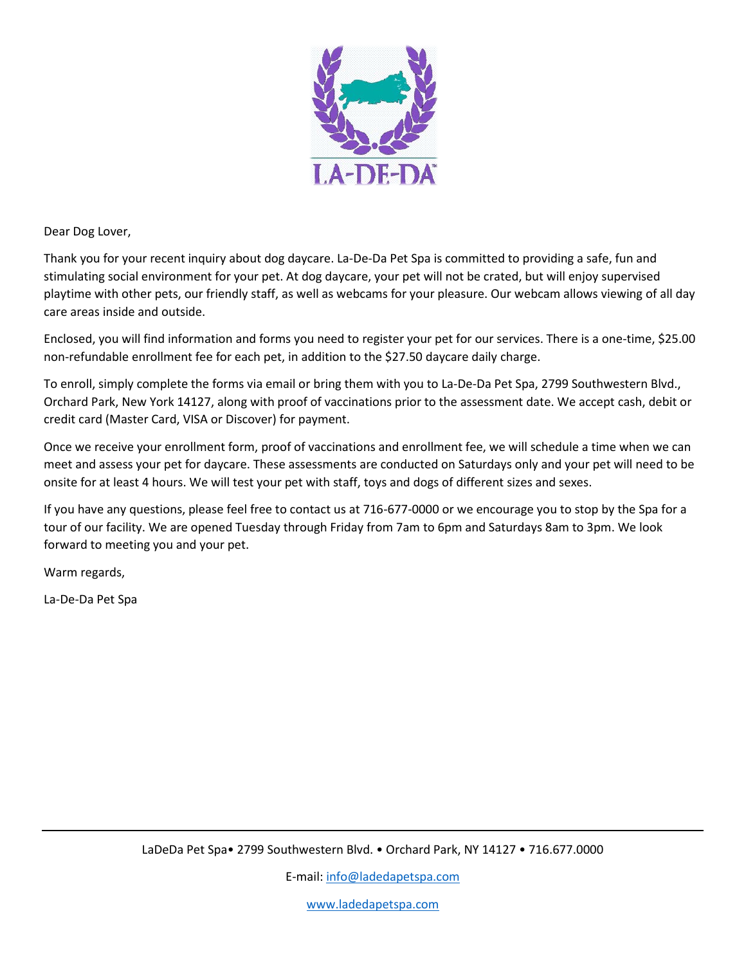

Dear Dog Lover,

Thank you for your recent inquiry about dog daycare. La-De-Da Pet Spa is committed to providing a safe, fun and stimulating social environment for your pet. At dog daycare, your pet will not be crated, but will enjoy supervised playtime with other pets, our friendly staff, as well as webcams for your pleasure. Our webcam allows viewing of all day care areas inside and outside.

Enclosed, you will find information and forms you need to register your pet for our services. There is a one-time, \$25.00 non-refundable enrollment fee for each pet, in addition to the \$27.50 daycare daily charge.

To enroll, simply complete the forms via email or bring them with you to La-De-Da Pet Spa, 2799 Southwestern Blvd., Orchard Park, New York 14127, along with proof of vaccinations prior to the assessment date. We accept cash, debit or credit card (Master Card, VISA or Discover) for payment.

Once we receive your enrollment form, proof of vaccinations and enrollment fee, we will schedule a time when we can meet and assess your pet for daycare. These assessments are conducted on Saturdays only and your pet will need to be onsite for at least 4 hours. We will test your pet with staff, toys and dogs of different sizes and sexes.

If you have any questions, please feel free to contact us at 716-677-0000 or we encourage you to stop by the Spa for a tour of our facility. We are opened Tuesday through Friday from 7am to 6pm and Saturdays 8am to 3pm. We look forward to meeting you and your pet.

Warm regards,

La-De-Da Pet Spa

E-mail: [info@ladedapetspa.com](mailto:info@ladedapetspa.com)

[www.ladedapetspa.com](http://www.ladedapetspa.com/)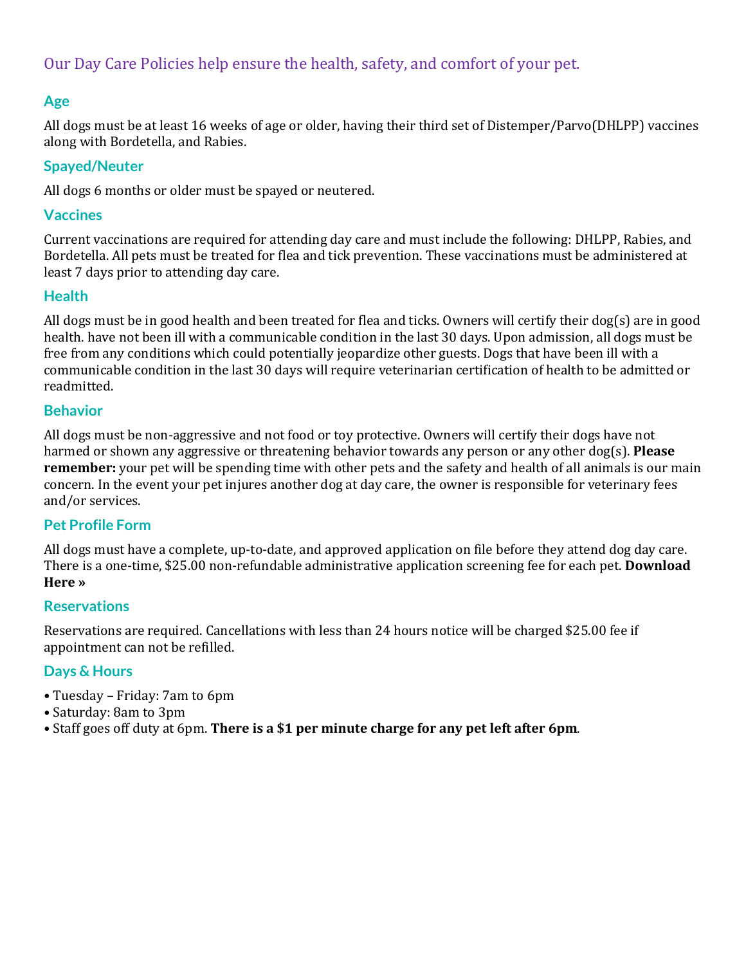# Our Day Care Policies help ensure the health, safety, and comfort of your pet.

# **Age**

All dogs must be at least 16 weeks of age or older, having their third set of Distemper/Parvo(DHLPP) vaccines along with Bordetella, and Rabies.

#### **Spayed/Neuter**

All dogs 6 months or older must be spayed or neutered.

#### **Vaccines**

Current vaccinations are required for attending day care and must include the following: DHLPP, Rabies, and Bordetella. All pets must be treated for flea and tick prevention. These vaccinations must be administered at least 7 days prior to attending day care.

# **Health**

All dogs must be in good health and been treated for flea and ticks. Owners will certify their dog(s) are in good health. have not been ill with a communicable condition in the last 30 days. Upon admission, all dogs must be free from any conditions which could potentially jeopardize other guests. Dogs that have been ill with a communicable condition in the last 30 days will require veterinarian certification of health to be admitted or readmitted.

#### **Behavior**

All dogs must be non-aggressive and not food or toy protective. Owners will certify their dogs have not harmed or shown any aggressive or threatening behavior towards any person or any other dog(s). **Please remember:** your pet will be spending time with other pets and the safety and health of all animals is our main concern. In the [event your pet injures another dog at day care, the owner is responsible for veterinary fees](http://ladedapetspa.com/wp-content/uploads/2015/03/enrollment-form.pdf)  and/or services.

# **Pet [Profile](http://ladedapetspa.com/wp-content/uploads/2015/03/enrollment-form.pdf) Form**

All dogs must have a complete, up-to-date, and approved [application](http://ladedapetspa.com/wp-content/uploads/2015/03/enrollment-form.pdf) on file before they attend dog day care. There is a one-time, \$25.00 [non-refundable](http://ladedapetspa.com/wp-content/uploads/2015/03/enrollment-form.pdf) administrative application screening fee for each pet. **Download [Here](http://ladedapetspa.com/wp-content/uploads/2015/03/enrollment-form.pdf) »**

#### **Reservations**

Reservations are required. Cancellations with less than 24 hours notice will be charged \$25.00 fee if appointment can not be refilled.

# **Days & Hours**

- Tuesday Friday: 7am to 6pm
- Saturday: 8am to 3pm
- Staff goes off duty at 6pm. **There is a \$1 per minute charge for any pet left after 6pm**.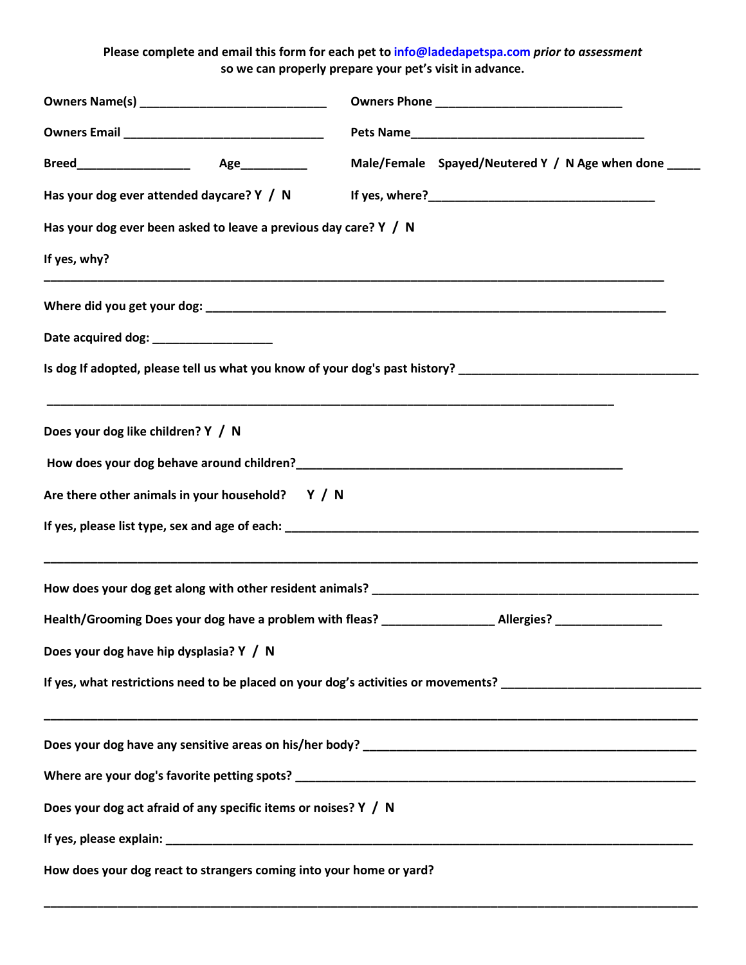**Please complete and email this form for each pet to info@ladedapetspa.com** *prior to assessment* **so we can properly prepare your pet's visit in advance.**

|                                                                     | Male/Female Spayed/Neutered Y / N Age when done _____                                                          |  |
|---------------------------------------------------------------------|----------------------------------------------------------------------------------------------------------------|--|
|                                                                     |                                                                                                                |  |
| Has your dog ever been asked to leave a previous day care? $Y / N$  |                                                                                                                |  |
| If yes, why?                                                        |                                                                                                                |  |
|                                                                     |                                                                                                                |  |
| Date acquired dog: _____________________                            |                                                                                                                |  |
|                                                                     | Is dog If adopted, please tell us what you know of your dog's past history?                                    |  |
| Does your dog like children? Y / N                                  |                                                                                                                |  |
|                                                                     |                                                                                                                |  |
| Are there other animals in your household? $Y / N$                  |                                                                                                                |  |
|                                                                     |                                                                                                                |  |
|                                                                     |                                                                                                                |  |
|                                                                     | Health/Grooming Does your dog have a problem with fleas? ______________________Allergies? ________________     |  |
| Does your dog have hip dysplasia? Y / N                             |                                                                                                                |  |
|                                                                     | If yes, what restrictions need to be placed on your dog's activities or movements? ___________________________ |  |
|                                                                     |                                                                                                                |  |
|                                                                     |                                                                                                                |  |
| Does your dog act afraid of any specific items or noises? Y / N     |                                                                                                                |  |
|                                                                     |                                                                                                                |  |
| How does your dog react to strangers coming into your home or yard? |                                                                                                                |  |

**\_\_\_\_\_\_\_\_\_\_\_\_\_\_\_\_\_\_\_\_\_\_\_\_\_\_\_\_\_\_\_\_\_\_\_\_\_\_\_\_\_\_\_\_\_\_\_\_\_\_\_\_\_\_\_\_\_\_\_\_\_\_\_\_\_\_\_\_\_\_\_\_\_\_\_\_\_\_\_\_\_\_\_\_\_\_\_\_\_\_\_\_\_\_\_\_\_\_**